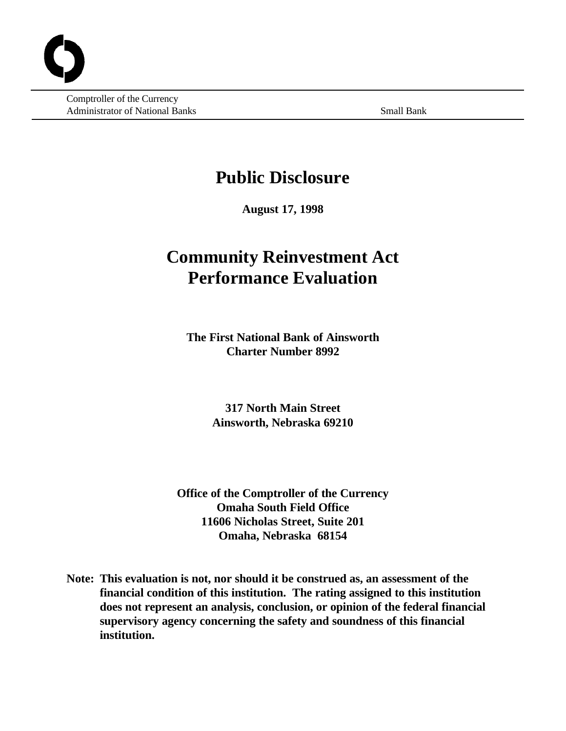Comptroller of the Currency Administrator of National Banks Small Banks Small Bank

# **Public Disclosure**

**August 17, 1998**

# **Community Reinvestment Act Performance Evaluation**

**The First National Bank of Ainsworth Charter Number 8992**

> **317 North Main Street Ainsworth, Nebraska 69210**

**Office of the Comptroller of the Currency Omaha South Field Office 11606 Nicholas Street, Suite 201 Omaha, Nebraska 68154**

**Note: This evaluation is not, nor should it be construed as, an assessment of the financial condition of this institution. The rating assigned to this institution does not represent an analysis, conclusion, or opinion of the federal financial supervisory agency concerning the safety and soundness of this financial institution.**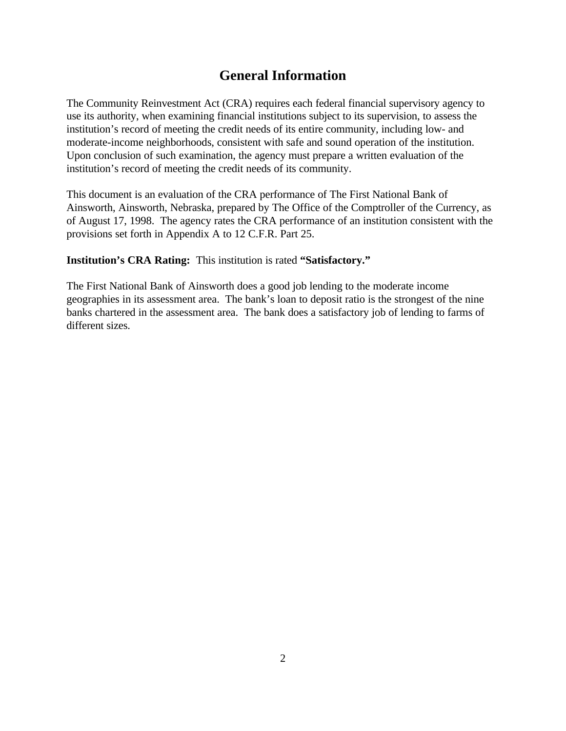# **General Information**

The Community Reinvestment Act (CRA) requires each federal financial supervisory agency to use its authority, when examining financial institutions subject to its supervision, to assess the institution's record of meeting the credit needs of its entire community, including low- and moderate-income neighborhoods, consistent with safe and sound operation of the institution. Upon conclusion of such examination, the agency must prepare a written evaluation of the institution's record of meeting the credit needs of its community.

This document is an evaluation of the CRA performance of The First National Bank of Ainsworth, Ainsworth, Nebraska, prepared by The Office of the Comptroller of the Currency, as of August 17, 1998. The agency rates the CRA performance of an institution consistent with the provisions set forth in Appendix A to 12 C.F.R. Part 25.

**Institution's CRA Rating:** This institution is rated **"Satisfactory."**

The First National Bank of Ainsworth does a good job lending to the moderate income geographies in its assessment area. The bank's loan to deposit ratio is the strongest of the nine banks chartered in the assessment area. The bank does a satisfactory job of lending to farms of different sizes.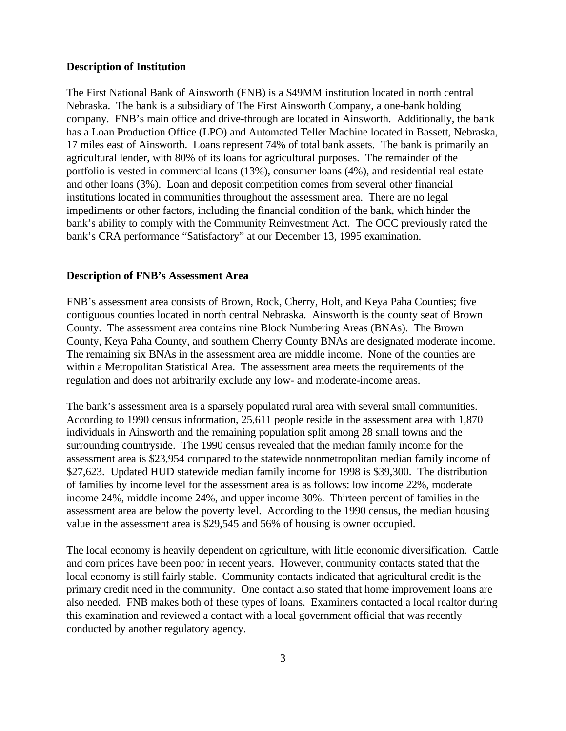### **Description of Institution**

The First National Bank of Ainsworth (FNB) is a \$49MM institution located in north central Nebraska. The bank is a subsidiary of The First Ainsworth Company, a one-bank holding company. FNB's main office and drive-through are located in Ainsworth. Additionally, the bank has a Loan Production Office (LPO) and Automated Teller Machine located in Bassett, Nebraska, 17 miles east of Ainsworth. Loans represent 74% of total bank assets. The bank is primarily an agricultural lender, with 80% of its loans for agricultural purposes. The remainder of the portfolio is vested in commercial loans (13%), consumer loans (4%), and residential real estate and other loans (3%). Loan and deposit competition comes from several other financial institutions located in communities throughout the assessment area. There are no legal impediments or other factors, including the financial condition of the bank, which hinder the bank's ability to comply with the Community Reinvestment Act. The OCC previously rated the bank's CRA performance "Satisfactory" at our December 13, 1995 examination.

# **Description of FNB's Assessment Area**

FNB's assessment area consists of Brown, Rock, Cherry, Holt, and Keya Paha Counties; five contiguous counties located in north central Nebraska. Ainsworth is the county seat of Brown County. The assessment area contains nine Block Numbering Areas (BNAs). The Brown County, Keya Paha County, and southern Cherry County BNAs are designated moderate income. The remaining six BNAs in the assessment area are middle income. None of the counties are within a Metropolitan Statistical Area. The assessment area meets the requirements of the regulation and does not arbitrarily exclude any low- and moderate-income areas.

The bank's assessment area is a sparsely populated rural area with several small communities. According to 1990 census information, 25,611 people reside in the assessment area with 1,870 individuals in Ainsworth and the remaining population split among 28 small towns and the surrounding countryside. The 1990 census revealed that the median family income for the assessment area is \$23,954 compared to the statewide nonmetropolitan median family income of \$27,623. Updated HUD statewide median family income for 1998 is \$39,300. The distribution of families by income level for the assessment area is as follows: low income 22%, moderate income 24%, middle income 24%, and upper income 30%. Thirteen percent of families in the assessment area are below the poverty level. According to the 1990 census, the median housing value in the assessment area is \$29,545 and 56% of housing is owner occupied.

The local economy is heavily dependent on agriculture, with little economic diversification. Cattle and corn prices have been poor in recent years. However, community contacts stated that the local economy is still fairly stable. Community contacts indicated that agricultural credit is the primary credit need in the community. One contact also stated that home improvement loans are also needed. FNB makes both of these types of loans. Examiners contacted a local realtor during this examination and reviewed a contact with a local government official that was recently conducted by another regulatory agency.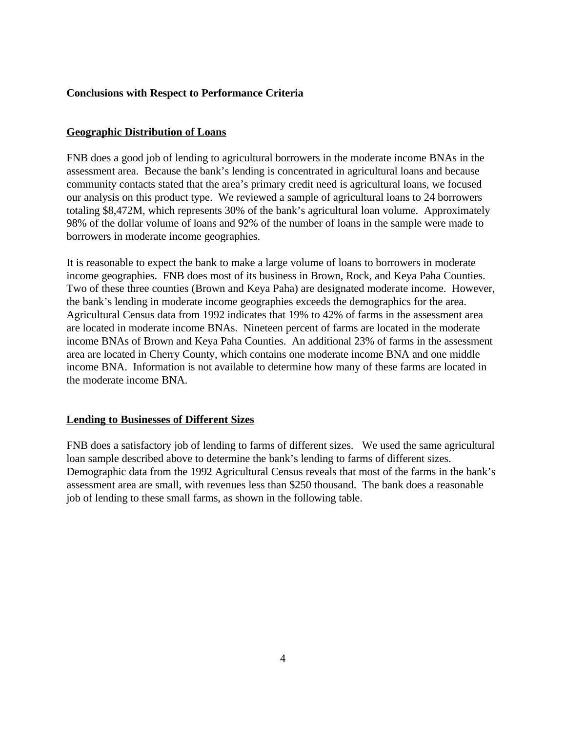# **Conclusions with Respect to Performance Criteria**

# **Geographic Distribution of Loans**

FNB does a good job of lending to agricultural borrowers in the moderate income BNAs in the assessment area. Because the bank's lending is concentrated in agricultural loans and because community contacts stated that the area's primary credit need is agricultural loans, we focused our analysis on this product type. We reviewed a sample of agricultural loans to 24 borrowers totaling \$8,472M, which represents 30% of the bank's agricultural loan volume. Approximately 98% of the dollar volume of loans and 92% of the number of loans in the sample were made to borrowers in moderate income geographies.

It is reasonable to expect the bank to make a large volume of loans to borrowers in moderate income geographies. FNB does most of its business in Brown, Rock, and Keya Paha Counties. Two of these three counties (Brown and Keya Paha) are designated moderate income. However, the bank's lending in moderate income geographies exceeds the demographics for the area. Agricultural Census data from 1992 indicates that 19% to 42% of farms in the assessment area are located in moderate income BNAs. Nineteen percent of farms are located in the moderate income BNAs of Brown and Keya Paha Counties. An additional 23% of farms in the assessment area are located in Cherry County, which contains one moderate income BNA and one middle income BNA. Information is not available to determine how many of these farms are located in the moderate income BNA.

# **Lending to Businesses of Different Sizes**

FNB does a satisfactory job of lending to farms of different sizes. We used the same agricultural loan sample described above to determine the bank's lending to farms of different sizes. Demographic data from the 1992 Agricultural Census reveals that most of the farms in the bank's assessment area are small, with revenues less than \$250 thousand. The bank does a reasonable job of lending to these small farms, as shown in the following table.